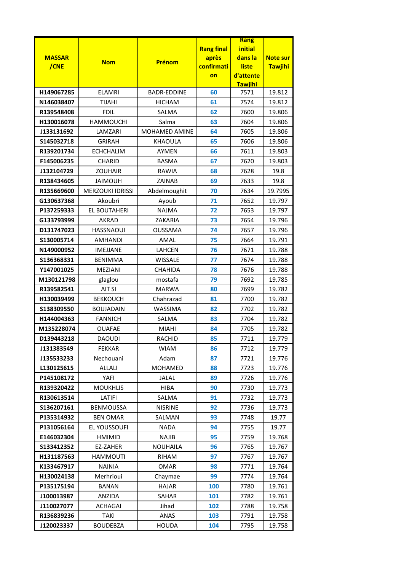|               |                         |                    |                   | <b>Rang</b>                 |                 |
|---------------|-------------------------|--------------------|-------------------|-----------------------------|-----------------|
|               |                         |                    | <b>Rang final</b> | <i>initial</i>              |                 |
| <b>MASSAR</b> | <b>Nom</b>              | Prénom             | après             | dans la                     | <b>Note sur</b> |
| /CNE          |                         |                    | confirmati        | <b>liste</b>                | <b>Tawjihi</b>  |
|               |                         |                    | on                | d'attente<br><b>Tawiihi</b> |                 |
| H149067285    | <b>ELAMRI</b>           | <b>BADR-EDDINE</b> | 60                | 7571                        | 19.812          |
| N146038407    | TIJAHI                  | <b>HICHAM</b>      | 61                | 7574                        | 19.812          |
| R139548408    | <b>FDIL</b>             | SALMA              | 62                | 7600                        | 19.806          |
| H130016078    | <b>HAMMOUCHI</b>        | Salma              | 63                | 7604                        | 19.806          |
| J133131692    | LAMZARI                 | MOHAMED AMINE      | 64                | 7605                        | 19.806          |
| S145032718    | <b>GRIRAH</b>           | KHAOULA            | 65                | 7606                        | 19.806          |
| R139201734    | <b>ECHCHALIM</b>        | AYMEN              | 66                | 7611                        | 19.803          |
| F145006235    | CHARID                  | <b>BASMA</b>       | 67                | 7620                        | 19.803          |
| J132104729    | <b>ZOUHAIR</b>          | RAWIA              | 68                | 7628                        | 19.8            |
| R138434605    | <b>JAIMOUH</b>          | ZAINAB             | 69                | 7633                        | 19.8            |
| R135669600    | <b>MERZOUKI IDRISSI</b> | Abdelmoughit       | 70                | 7634                        | 19.7995         |
| G130637368    | Akoubri                 | Ayoub              | 71                | 7652                        | 19.797          |
| P137259333    | EL BOUTAHERI            | <b>NAJMA</b>       | 72                | 7653                        | 19.797          |
| G133793999    | <b>AKRAD</b>            | ZAKARIA            | 73                | 7654                        | 19.796          |
| D131747023    | <b>HASSNAOUI</b>        | <b>OUSSAMA</b>     | 74                | 7657                        | 19.796          |
| S130005714    | <b>AMHANDI</b>          | AMAL               | 75                | 7664                        | 19.791          |
| N149000952    | <b>IMEJJANE</b>         | LAHCEN             | 76                | 7671                        | 19.788          |
| \$136368331   | <b>BENIMMA</b>          | <b>WISSALE</b>     | 77                | 7674                        | 19.788          |
| Y147001025    | MEZIANI                 | <b>CHAHIDA</b>     | 78                | 7676                        | 19.788          |
| M130121798    | glaglou                 | mostafa            | 79                | 7692                        | 19.785          |
| R139582541    | AIT SI                  | MARWA              | 80                | 7699                        | 19.782          |
| H130039499    | <b>BEKKOUCH</b>         | Chahrazad          | 81                | 7700                        | 19.782          |
| S138309550    | <b>BOUJADAIN</b>        | <b>WASSIMA</b>     | 82                | 7702                        | 19.782          |
| H144004363    | <b>FANNICH</b>          | SALMA              | 83                | 7704                        | 19.782          |
| M135228074    | <b>OUAFAE</b>           | <b>MIAHI</b>       | 84                | 7705                        | 19.782          |
| D139443218    | <b>DAOUDI</b>           | RACHID             | 85                | 7711                        | 19.779          |
| J131383549    | <b>FEKKAR</b>           | <b>WIAM</b>        | 86                | 7712                        | 19.779          |
| J135533233    | Nechouani               | Adam               | 87                | 7721                        | 19.776          |
| L130125615    | <b>ALLALI</b>           | <b>MOHAMED</b>     | 88                | 7723                        | 19.776          |
| P145108172    | YAFI                    | JALAL              | 89                | 7726                        | 19.776          |
| R139320422    | <b>MOUKHLIS</b>         | HIBA               | 90                | 7730                        | 19.773          |
| R130613514    | LATIFI                  | SALMA              | 91                | 7732                        | 19.773          |
| S136207161    | <b>BENMOUSSA</b>        | <b>NISRINE</b>     | 92                | 7736                        | 19.773          |
| P135314932    | <b>BEN OMAR</b>         | SALMAN             | 93                | 7748                        | 19.77           |
| P131056164    | EL YOUSSOUFI            | NADA               | 94                | 7755                        | 19.77           |
| E146032304    | <b>HMIMID</b>           | NAJIB              | 95                | 7759                        | 19.768          |
| \$133412352   | EZ-ZAHER                | <b>NOUHAILA</b>    | 96                | 7765                        | 19.767          |
| H131187563    | <b>HAMMOUTI</b>         | RIHAM              | 97                | 7767                        | 19.767          |
| K133467917    | <b>NAINIA</b>           | <b>OMAR</b>        | 98                | 7771                        | 19.764          |
| H130024138    | Merhrioui               | Chaymae            | 99                | 7774                        | 19.764          |
| P135175194    | <b>BANAN</b>            | <b>HAJAR</b>       | 100               | 7780                        | 19.761          |
| J100013987    | ANZIDA                  | SAHAR              | 101               | 7782                        | 19.761          |
| J110027077    | ACHAGAI                 | Jihad              | 102               | 7788                        | 19.758          |
| R136839236    | TAKI                    | ANAS               | 103               | 7791                        | 19.758          |
| J120023337    | <b>BOUDEBZA</b>         | HOUDA              | 104               | 7795                        | 19.758          |